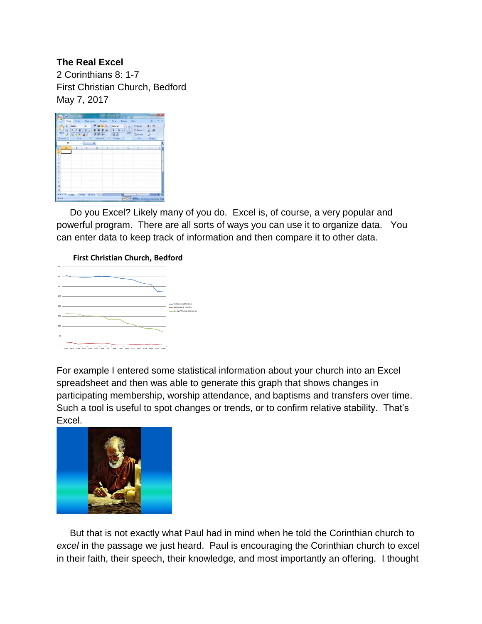## **The Real Excel**

2 Corinthians 8: 1-7 First Christian Church, Bedford May 7, 2017

| ы<br>9                                                                                                                                                                  | <b>W</b><br><b>Books - Microsoft Excel</b>                                             |                                  |             |   |                                                                                       |                |                                                                                         | <b>REAGINATION</b> |                  |
|-------------------------------------------------------------------------------------------------------------------------------------------------------------------------|----------------------------------------------------------------------------------------|----------------------------------|-------------|---|---------------------------------------------------------------------------------------|----------------|-----------------------------------------------------------------------------------------|--------------------|------------------|
|                                                                                                                                                                         | Home                                                                                   | Insert Page Layout Formulas Data |             |   |                                                                                       | View<br>Reifew |                                                                                         | $W = 7$            | ××               |
| O<br>X.<br>G)<br>Clipboard <sup>7</sup>                                                                                                                                 | Calibri - 11 -<br>BIU<br>Patte $j$ $\equiv$ $\mathbf{0} \cdot \mathbf{\Delta}$<br>Fort |                                  | ----<br>读读》 |   | General " A<br>$\cdot$ A $\lambda$ = = = H + s - x +<br>34.28<br>Allgridge Munited To | Styles         | Swinsert - E - M-<br><sup>24</sup> Delete · 9 书-<br>$E$ Format - $2$ -<br>Cells Editing |                    |                  |
| $ (n)$<br>$f_{\rm K}$<br>A1                                                                                                                                             |                                                                                        |                                  |             |   |                                                                                       |                |                                                                                         |                    | ¥                |
| A.<br>1<br>$\overline{2}$<br>$\overline{\overline{3}}$<br>$\ddot{a}$<br>$\overline{\phantom{a}}$<br>$\overline{6}$<br>$\overline{7}$<br>s<br>$\overline{9}$<br>10<br>11 | B                                                                                      | $C$ $D$                          |             | E | F                                                                                     | $\sqrt{G}$     | н                                                                                       |                    | d                |
| Ready                                                                                                                                                                   | <b>H</b> + + K Sheet1 Sheet2 Sheet3 92                                                 |                                  |             |   | н                                                                                     |                | (田田田山00% (一)                                                                            | ú.<br>sQ.          | п<br>$\Theta$ as |

 Do you Excel? Likely many of you do. Excel is, of course, a very popular and powerful program. There are all sorts of ways you can use it to organize data. You can enter data to keep track of information and then compare it to other data.

## **First Christian Church, Bedford**



For example I entered some statistical information about your church into an Excel spreadsheet and then was able to generate this graph that shows changes in participating membership, worship attendance, and baptisms and transfers over time. Such a tool is useful to spot changes or trends, or to confirm relative stability. That's Excel.



 But that is not exactly what Paul had in mind when he told the Corinthian church to *excel* in the passage we just heard. Paul is encouraging the Corinthian church to excel in their faith, their speech, their knowledge, and most importantly an offering. I thought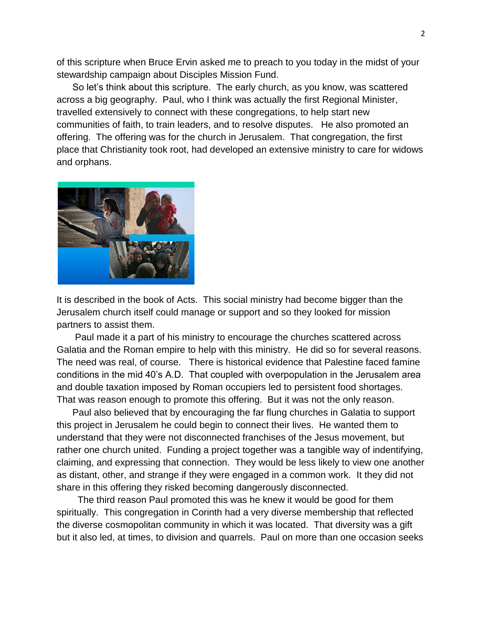of this scripture when Bruce Ervin asked me to preach to you today in the midst of your stewardship campaign about Disciples Mission Fund.

 So let's think about this scripture. The early church, as you know, was scattered across a big geography. Paul, who I think was actually the first Regional Minister, travelled extensively to connect with these congregations, to help start new communities of faith, to train leaders, and to resolve disputes. He also promoted an offering. The offering was for the church in Jerusalem. That congregation, the first place that Christianity took root, had developed an extensive ministry to care for widows and orphans.



It is described in the book of Acts. This social ministry had become bigger than the Jerusalem church itself could manage or support and so they looked for mission partners to assist them.

 Paul made it a part of his ministry to encourage the churches scattered across Galatia and the Roman empire to help with this ministry. He did so for several reasons. The need was real, of course. There is historical evidence that Palestine faced famine conditions in the mid 40's A.D. That coupled with overpopulation in the Jerusalem area and double taxation imposed by Roman occupiers led to persistent food shortages. That was reason enough to promote this offering. But it was not the only reason.

 Paul also believed that by encouraging the far flung churches in Galatia to support this project in Jerusalem he could begin to connect their lives. He wanted them to understand that they were not disconnected franchises of the Jesus movement, but rather one church united. Funding a project together was a tangible way of indentifying, claiming, and expressing that connection. They would be less likely to view one another as distant, other, and strange if they were engaged in a common work. It they did not share in this offering they risked becoming dangerously disconnected.

 The third reason Paul promoted this was he knew it would be good for them spiritually. This congregation in Corinth had a very diverse membership that reflected the diverse cosmopolitan community in which it was located. That diversity was a gift but it also led, at times, to division and quarrels. Paul on more than one occasion seeks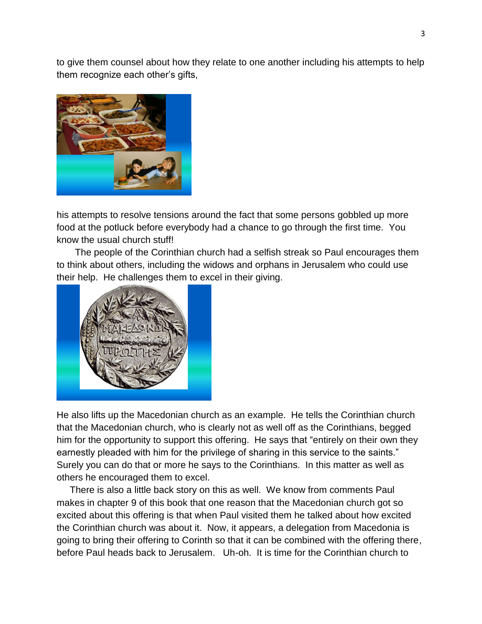to give them counsel about how they relate to one another including his attempts to help them recognize each other's gifts,



his attempts to resolve tensions around the fact that some persons gobbled up more food at the potluck before everybody had a chance to go through the first time. You know the usual church stuff!

 The people of the Corinthian church had a selfish streak so Paul encourages them to think about others, including the widows and orphans in Jerusalem who could use their help. He challenges them to excel in their giving.



He also lifts up the Macedonian church as an example. He tells the Corinthian church that the Macedonian church, who is clearly not as well off as the Corinthians, begged him for the opportunity to support this offering. He says that "entirely on their own they earnestly pleaded with him for the privilege of sharing in this service to the saints." Surely you can do that or more he says to the Corinthians. In this matter as well as others he encouraged them to excel.

 There is also a little back story on this as well. We know from comments Paul makes in chapter 9 of this book that one reason that the Macedonian church got so excited about this offering is that when Paul visited them he talked about how excited the Corinthian church was about it. Now, it appears, a delegation from Macedonia is going to bring their offering to Corinth so that it can be combined with the offering there, before Paul heads back to Jerusalem. Uh-oh. It is time for the Corinthian church to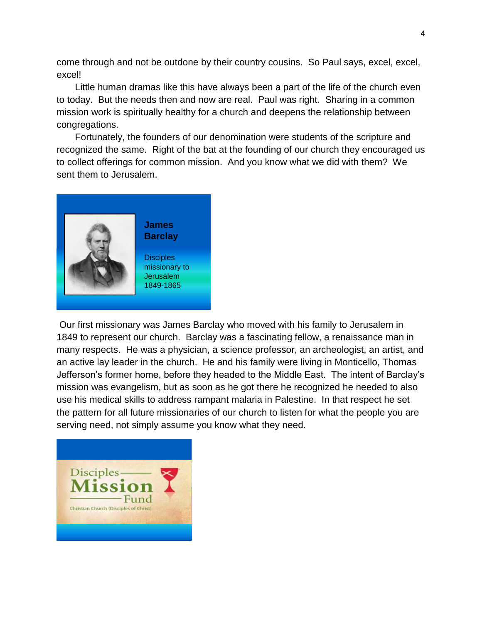come through and not be outdone by their country cousins. So Paul says, excel, excel, excel!

 Little human dramas like this have always been a part of the life of the church even to today. But the needs then and now are real. Paul was right. Sharing in a common mission work is spiritually healthy for a church and deepens the relationship between congregations.

 Fortunately, the founders of our denomination were students of the scripture and recognized the same. Right of the bat at the founding of our church they encouraged us to collect offerings for common mission. And you know what we did with them? We sent them to Jerusalem.



**James Barclay**

**Disciples** missionary to Jerusalem 1849-1865

Our first missionary was James Barclay who moved with his family to Jerusalem in 1849 to represent our church. Barclay was a fascinating fellow, a renaissance man in many respects. He was a physician, a science professor, an archeologist, an artist, and an active lay leader in the church. He and his family were living in Monticello, Thomas Jefferson's former home, before they headed to the Middle East. The intent of Barclay's mission was evangelism, but as soon as he got there he recognized he needed to also use his medical skills to address rampant malaria in Palestine. In that respect he set the pattern for all future missionaries of our church to listen for what the people you are serving need, not simply assume you know what they need.

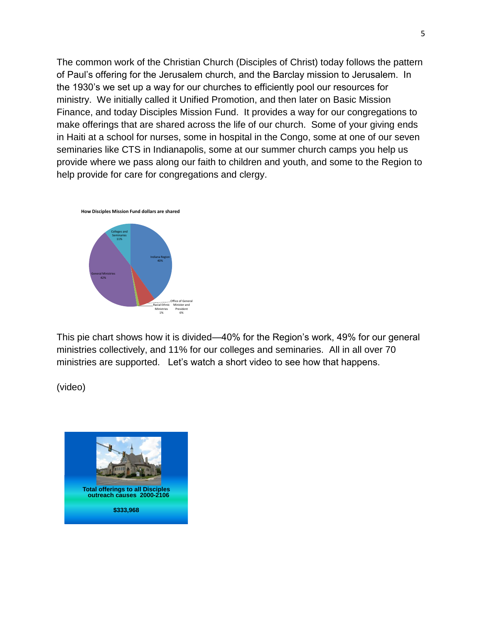The common work of the Christian Church (Disciples of Christ) today follows the pattern of Paul's offering for the Jerusalem church, and the Barclay mission to Jerusalem. In the 1930's we set up a way for our churches to efficiently pool our resources for ministry. We initially called it Unified Promotion, and then later on Basic Mission Finance, and today Disciples Mission Fund. It provides a way for our congregations to make offerings that are shared across the life of our church. Some of your giving ends in Haiti at a school for nurses, some in hospital in the Congo, some at one of our seven seminaries like CTS in Indianapolis, some at our summer church camps you help us provide where we pass along our faith to children and youth, and some to the Region to help provide for care for congregations and clergy.



This pie chart shows how it is divided—40% for the Region's work, 49% for our general ministries collectively, and 11% for our colleges and seminaries. All in all over 70 ministries are supported. Let's watch a short video to see how that happens.

(video)

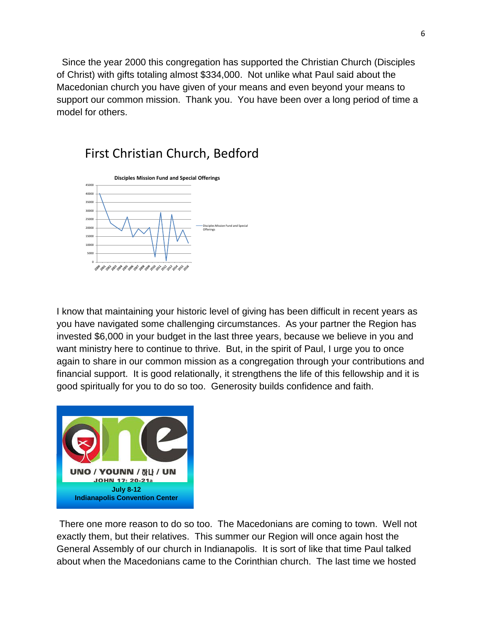Since the year 2000 this congregation has supported the Christian Church (Disciples of Christ) with gifts totaling almost \$334,000. Not unlike what Paul said about the Macedonian church you have given of your means and even beyond your means to support our common mission. Thank you. You have been over a long period of time a model for others.

## First Christian Church, Bedford



I know that maintaining your historic level of giving has been difficult in recent years as you have navigated some challenging circumstances. As your partner the Region has invested \$6,000 in your budget in the last three years, because we believe in you and want ministry here to continue to thrive. But, in the spirit of Paul, I urge you to once again to share in our common mission as a congregation through your contributions and financial support. It is good relationally, it strengthens the life of this fellowship and it is good spiritually for you to do so too. Generosity builds confidence and faith.



There one more reason to do so too. The Macedonians are coming to town. Well not exactly them, but their relatives. This summer our Region will once again host the General Assembly of our church in Indianapolis. It is sort of like that time Paul talked about when the Macedonians came to the Corinthian church. The last time we hosted